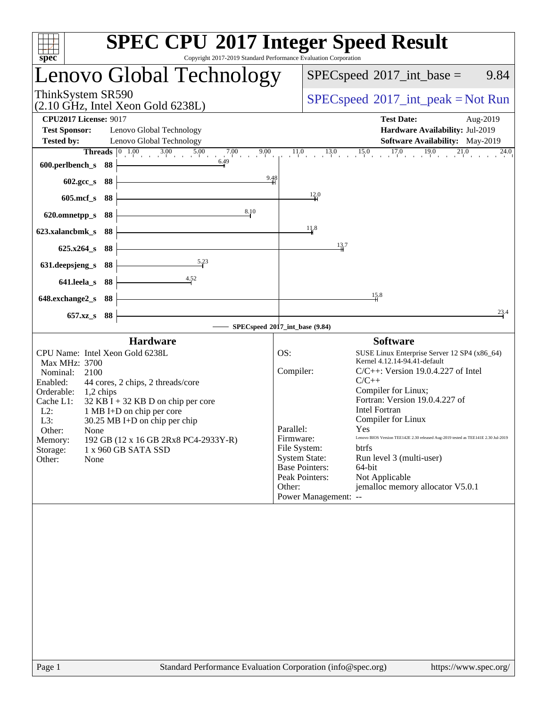| spec <sup>®</sup>                                                                                                                                                                                    |      | <b>SPEC CPU®2017 Integer Speed Result</b><br>Copyright 2017-2019 Standard Performance Evaluation Corporation                                                                                             |                                                      |                                                                                                                                                                                                                                                                                                                                                                                                                                                                                                                                                             |
|------------------------------------------------------------------------------------------------------------------------------------------------------------------------------------------------------|------|----------------------------------------------------------------------------------------------------------------------------------------------------------------------------------------------------------|------------------------------------------------------|-------------------------------------------------------------------------------------------------------------------------------------------------------------------------------------------------------------------------------------------------------------------------------------------------------------------------------------------------------------------------------------------------------------------------------------------------------------------------------------------------------------------------------------------------------------|
|                                                                                                                                                                                                      |      | Lenovo Global Technology                                                                                                                                                                                 |                                                      | $SPEC speed^{\circ}2017\_int\_base =$<br>9.84                                                                                                                                                                                                                                                                                                                                                                                                                                                                                                               |
| ThinkSystem SR590                                                                                                                                                                                    |      | $(2.10 \text{ GHz}, \text{Intel Xeon Gold } 6238L)$                                                                                                                                                      |                                                      | $SPEC speed^{\circ}2017\_int\_peak = Not Run$                                                                                                                                                                                                                                                                                                                                                                                                                                                                                                               |
| <b>CPU2017 License: 9017</b><br><b>Test Sponsor:</b>                                                                                                                                                 |      | Lenovo Global Technology<br>Lenovo Global Technology                                                                                                                                                     |                                                      | <b>Test Date:</b><br>Aug-2019<br>Hardware Availability: Jul-2019                                                                                                                                                                                                                                                                                                                                                                                                                                                                                            |
| <b>Tested by:</b>                                                                                                                                                                                    |      | Threads $\boxed{0}$ 1.00<br>$\frac{0.00}{1}$ 3.00 5.00 7.00 9<br>9.00                                                                                                                                    |                                                      | <b>Software Availability:</b> May-2019<br>$11.0$ $13.0$ $15.0$ $17.0$ $19.0$ $21.0$<br>24.0                                                                                                                                                                                                                                                                                                                                                                                                                                                                 |
| 600.perlbench_s                                                                                                                                                                                      | - 88 | 6.49                                                                                                                                                                                                     |                                                      |                                                                                                                                                                                                                                                                                                                                                                                                                                                                                                                                                             |
| 602.gcc_s                                                                                                                                                                                            | 88   | 9.48                                                                                                                                                                                                     |                                                      |                                                                                                                                                                                                                                                                                                                                                                                                                                                                                                                                                             |
| $605$ .mcf_s                                                                                                                                                                                         | 88   |                                                                                                                                                                                                          |                                                      | 12.0                                                                                                                                                                                                                                                                                                                                                                                                                                                                                                                                                        |
| 620.omnetpp_s                                                                                                                                                                                        | 88   | 8.10                                                                                                                                                                                                     |                                                      |                                                                                                                                                                                                                                                                                                                                                                                                                                                                                                                                                             |
| 623.xalancbmk_s                                                                                                                                                                                      | 88   |                                                                                                                                                                                                          |                                                      | 11.8                                                                                                                                                                                                                                                                                                                                                                                                                                                                                                                                                        |
| $625.x264_s$                                                                                                                                                                                         | 88   |                                                                                                                                                                                                          |                                                      | 13.7                                                                                                                                                                                                                                                                                                                                                                                                                                                                                                                                                        |
| 631.deepsjeng_s                                                                                                                                                                                      | 88   | 5.23                                                                                                                                                                                                     |                                                      |                                                                                                                                                                                                                                                                                                                                                                                                                                                                                                                                                             |
| 641.leela s                                                                                                                                                                                          | 88   | 4.52                                                                                                                                                                                                     |                                                      |                                                                                                                                                                                                                                                                                                                                                                                                                                                                                                                                                             |
| 648.exchange2_s                                                                                                                                                                                      | 88   |                                                                                                                                                                                                          |                                                      | $\frac{15.8}{4}$                                                                                                                                                                                                                                                                                                                                                                                                                                                                                                                                            |
| 657.xz_s                                                                                                                                                                                             | 88   |                                                                                                                                                                                                          |                                                      | 23.4                                                                                                                                                                                                                                                                                                                                                                                                                                                                                                                                                        |
|                                                                                                                                                                                                      |      | SPECspeed®2017_int_base (9.84)                                                                                                                                                                           |                                                      |                                                                                                                                                                                                                                                                                                                                                                                                                                                                                                                                                             |
|                                                                                                                                                                                                      |      | <b>Hardware</b>                                                                                                                                                                                          |                                                      | <b>Software</b>                                                                                                                                                                                                                                                                                                                                                                                                                                                                                                                                             |
| CPU Name: Intel Xeon Gold 6238L<br>Max MHz: 3700<br>Nominal:<br>2100<br>Enabled:<br>Orderable:<br>1,2 chips<br>Cache L1:<br>$L2$ :<br>L3:<br>Other:<br>None<br>Memory:<br>Storage:<br>Other:<br>None |      | 44 cores, 2 chips, 2 threads/core<br>$32$ KB I + 32 KB D on chip per core<br>1 MB I+D on chip per core<br>$30.25$ MB I+D on chip per chip<br>192 GB (12 x 16 GB 2Rx8 PC4-2933Y-R)<br>1 x 960 GB SATA SSD | OS:<br>Compiler:<br>Parallel:<br>Firmware:<br>Other: | SUSE Linux Enterprise Server 12 SP4 (x86_64)<br>Kernel 4.12.14-94.41-default<br>$C/C++$ : Version 19.0.4.227 of Intel<br>$C/C++$<br>Compiler for Linux;<br>Fortran: Version 19.0.4.227 of<br><b>Intel Fortran</b><br>Compiler for Linux<br>Yes<br>Lenovo BIOS Version TEE142E 2.30 released Aug-2019 tested as TEE141E 2.30 Jul-2019<br>File System:<br><b>btrfs</b><br><b>System State:</b><br>Run level 3 (multi-user)<br><b>Base Pointers:</b><br>64-bit<br>Peak Pointers:<br>Not Applicable<br>jemalloc memory allocator V5.0.1<br>Power Management: -- |
|                                                                                                                                                                                                      |      |                                                                                                                                                                                                          |                                                      |                                                                                                                                                                                                                                                                                                                                                                                                                                                                                                                                                             |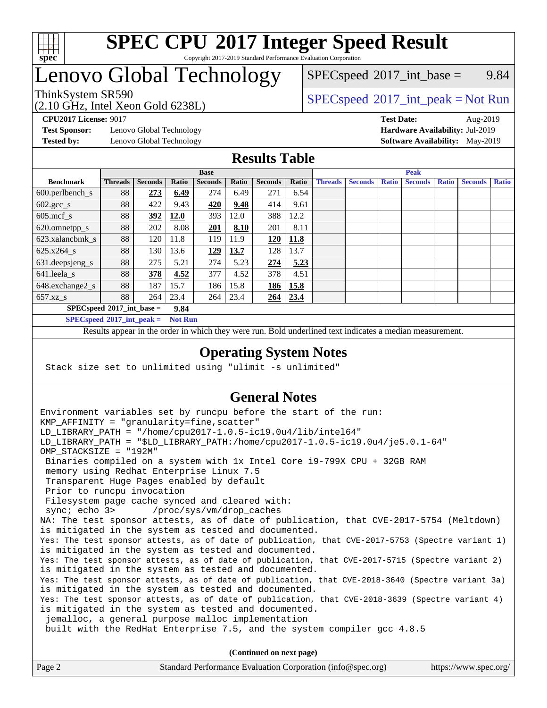

### **[SPEC CPU](http://www.spec.org/auto/cpu2017/Docs/result-fields.html#SPECCPU2017IntegerSpeedResult)[2017 Integer Speed Result](http://www.spec.org/auto/cpu2017/Docs/result-fields.html#SPECCPU2017IntegerSpeedResult)** Copyright 2017-2019 Standard Performance Evaluation Corporation

## Lenovo Global Technology

(2.10 GHz, Intel Xeon Gold 6238L)

 $SPECspeed^{\circ}2017\_int\_base =$  $SPECspeed^{\circ}2017\_int\_base =$  9.84

### ThinkSystem SR590<br>  $SPEC speed^{\circ}2017\_int\_peak = Not Run$

**[Test Sponsor:](http://www.spec.org/auto/cpu2017/Docs/result-fields.html#TestSponsor)** Lenovo Global Technology **[Hardware Availability:](http://www.spec.org/auto/cpu2017/Docs/result-fields.html#HardwareAvailability)** Jul-2019

**[CPU2017 License:](http://www.spec.org/auto/cpu2017/Docs/result-fields.html#CPU2017License)** 9017 **[Test Date:](http://www.spec.org/auto/cpu2017/Docs/result-fields.html#TestDate)** Aug-2019 **[Tested by:](http://www.spec.org/auto/cpu2017/Docs/result-fields.html#Testedby)** Lenovo Global Technology **[Software Availability:](http://www.spec.org/auto/cpu2017/Docs/result-fields.html#SoftwareAvailability)** May-2019

### **[Results Table](http://www.spec.org/auto/cpu2017/Docs/result-fields.html#ResultsTable)**

|                                     | <b>Base</b>    |                |             |                |       | <b>Peak</b>    |       |                |                |              |                |              |                |              |
|-------------------------------------|----------------|----------------|-------------|----------------|-------|----------------|-------|----------------|----------------|--------------|----------------|--------------|----------------|--------------|
| <b>Benchmark</b>                    | <b>Threads</b> | <b>Seconds</b> | Ratio       | <b>Seconds</b> | Ratio | <b>Seconds</b> | Ratio | <b>Threads</b> | <b>Seconds</b> | <b>Ratio</b> | <b>Seconds</b> | <b>Ratio</b> | <b>Seconds</b> | <b>Ratio</b> |
| $600.$ perlbench_s                  | 88             | 273            | 6.49        | 274            | 6.49  | 271            | 6.54  |                |                |              |                |              |                |              |
| $602.\text{gcc}\_\text{s}$          | 88             | 422            | 9.43        | 420            | 9.48  | 414            | 9.61  |                |                |              |                |              |                |              |
| $605$ .mcf s                        | 88             | 392            | <b>12.0</b> | 393            | 12.0  | 388            | 12.2  |                |                |              |                |              |                |              |
| 620.omnetpp_s                       | 88             | 202            | 8.08        | 201            | 8.10  | 201            | 8.11  |                |                |              |                |              |                |              |
| 623.xalancbmk s                     | 88             | 120            | 11.8        | 119            | 11.9  | 120            | 11.8  |                |                |              |                |              |                |              |
| 625.x264 s                          | 88             | 130            | 13.6        | <u>129</u>     | 13.7  | 128            | 13.7  |                |                |              |                |              |                |              |
| 631.deepsjeng_s                     | 88             | 275            | 5.21        | 274            | 5.23  | 274            | 5.23  |                |                |              |                |              |                |              |
| 641.leela s                         | 88             | 378            | 4.52        | 377            | 4.52  | 378            | 4.51  |                |                |              |                |              |                |              |
| 648.exchange2_s                     | 88             | 187            | 15.7        | 186            | 15.8  | 186            | 15.8  |                |                |              |                |              |                |              |
| $657.xz$ s                          | 88             | 264            | 23.4        | 264            | 23.4  | 264            | 23.4  |                |                |              |                |              |                |              |
| $SPECspeed*2017$ int base =<br>9.84 |                |                |             |                |       |                |       |                |                |              |                |              |                |              |

**[SPECspeed](http://www.spec.org/auto/cpu2017/Docs/result-fields.html#SPECspeed2017intpeak)[2017\\_int\\_peak =](http://www.spec.org/auto/cpu2017/Docs/result-fields.html#SPECspeed2017intpeak) Not Run**

Results appear in the [order in which they were run.](http://www.spec.org/auto/cpu2017/Docs/result-fields.html#RunOrder) Bold underlined text [indicates a median measurement.](http://www.spec.org/auto/cpu2017/Docs/result-fields.html#Median)

### **[Operating System Notes](http://www.spec.org/auto/cpu2017/Docs/result-fields.html#OperatingSystemNotes)**

Stack size set to unlimited using "ulimit -s unlimited"

### **[General Notes](http://www.spec.org/auto/cpu2017/Docs/result-fields.html#GeneralNotes)**

Environment variables set by runcpu before the start of the run: KMP AFFINITY = "granularity=fine, scatter" LD\_LIBRARY\_PATH = "/home/cpu2017-1.0.5-ic19.0u4/lib/intel64" LD\_LIBRARY\_PATH = "\$LD\_LIBRARY\_PATH:/home/cpu2017-1.0.5-ic19.0u4/je5.0.1-64" OMP\_STACKSIZE = "192M" Binaries compiled on a system with 1x Intel Core i9-799X CPU + 32GB RAM memory using Redhat Enterprise Linux 7.5 Transparent Huge Pages enabled by default Prior to runcpu invocation Filesystem page cache synced and cleared with: sync; echo 3> /proc/sys/vm/drop\_caches NA: The test sponsor attests, as of date of publication, that CVE-2017-5754 (Meltdown) is mitigated in the system as tested and documented. Yes: The test sponsor attests, as of date of publication, that CVE-2017-5753 (Spectre variant 1) is mitigated in the system as tested and documented. Yes: The test sponsor attests, as of date of publication, that CVE-2017-5715 (Spectre variant 2) is mitigated in the system as tested and documented. Yes: The test sponsor attests, as of date of publication, that CVE-2018-3640 (Spectre variant 3a) is mitigated in the system as tested and documented. Yes: The test sponsor attests, as of date of publication, that CVE-2018-3639 (Spectre variant 4) is mitigated in the system as tested and documented. jemalloc, a general purpose malloc implementation built with the RedHat Enterprise 7.5, and the system compiler gcc 4.8.5 **(Continued on next page)**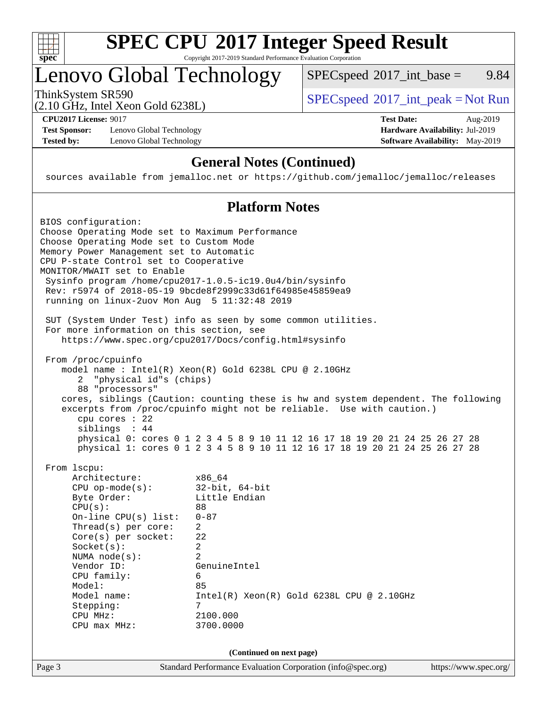

# **[SPEC CPU](http://www.spec.org/auto/cpu2017/Docs/result-fields.html#SPECCPU2017IntegerSpeedResult)[2017 Integer Speed Result](http://www.spec.org/auto/cpu2017/Docs/result-fields.html#SPECCPU2017IntegerSpeedResult)**

Copyright 2017-2019 Standard Performance Evaluation Corporation

## Lenovo Global Technology

ThinkSystem SR590<br>  $(2.10 \text{ GHz} \text{ Intel } \text{Yoon} \text{ Gold } 62381)$  [SPECspeed](http://www.spec.org/auto/cpu2017/Docs/result-fields.html#SPECspeed2017intpeak)<sup>®</sup>[2017\\_int\\_peak = N](http://www.spec.org/auto/cpu2017/Docs/result-fields.html#SPECspeed2017intpeak)ot Run  $SPECspeed^{\circledcirc}2017\_int\_base =$  $SPECspeed^{\circledcirc}2017\_int\_base =$  9.84

(2.10 GHz, Intel Xeon Gold 6238L)

**[Test Sponsor:](http://www.spec.org/auto/cpu2017/Docs/result-fields.html#TestSponsor)** Lenovo Global Technology **[Hardware Availability:](http://www.spec.org/auto/cpu2017/Docs/result-fields.html#HardwareAvailability)** Jul-2019 **[Tested by:](http://www.spec.org/auto/cpu2017/Docs/result-fields.html#Testedby)** Lenovo Global Technology **[Software Availability:](http://www.spec.org/auto/cpu2017/Docs/result-fields.html#SoftwareAvailability)** May-2019

**[CPU2017 License:](http://www.spec.org/auto/cpu2017/Docs/result-fields.html#CPU2017License)** 9017 **[Test Date:](http://www.spec.org/auto/cpu2017/Docs/result-fields.html#TestDate)** Aug-2019

### **[General Notes \(Continued\)](http://www.spec.org/auto/cpu2017/Docs/result-fields.html#GeneralNotes)**

sources available from jemalloc.net or <https://github.com/jemalloc/jemalloc/releases>

### **[Platform Notes](http://www.spec.org/auto/cpu2017/Docs/result-fields.html#PlatformNotes)**

| BIOS configuration:<br>Choose Operating Mode set to Maximum Performance<br>Choose Operating Mode set to Custom Mode<br>Memory Power Management set to Automatic<br>CPU P-state Control set to Cooperative<br>MONITOR/MWAIT set to Enable<br>running on linux-2uov Mon Aug 5 11:32:48 2019          | Sysinfo program /home/cpu2017-1.0.5-ic19.0u4/bin/sysinfo<br>Rev: r5974 of 2018-05-19 9bcde8f2999c33d61f64985e45859ea9                                                                                                                                                                                                                                                              |                       |
|----------------------------------------------------------------------------------------------------------------------------------------------------------------------------------------------------------------------------------------------------------------------------------------------------|------------------------------------------------------------------------------------------------------------------------------------------------------------------------------------------------------------------------------------------------------------------------------------------------------------------------------------------------------------------------------------|-----------------------|
| For more information on this section, see                                                                                                                                                                                                                                                          | SUT (System Under Test) info as seen by some common utilities.<br>https://www.spec.org/cpu2017/Docs/config.html#sysinfo                                                                                                                                                                                                                                                            |                       |
| From /proc/cpuinfo<br>"physical id"s (chips)<br>2<br>88 "processors"<br>cpu cores $: 22$<br>siblings : 44                                                                                                                                                                                          | model name: Intel(R) Xeon(R) Gold 6238L CPU @ 2.10GHz<br>cores, siblings (Caution: counting these is hw and system dependent. The following<br>excerpts from /proc/cpuinfo might not be reliable. Use with caution.)<br>physical 0: cores 0 1 2 3 4 5 8 9 10 11 12 16 17 18 19 20 21 24 25 26 27 28<br>physical 1: cores 0 1 2 3 4 5 8 9 10 11 12 16 17 18 19 20 21 24 25 26 27 28 |                       |
| From 1scpu:<br>Architecture:<br>$CPU$ op-mode( $s$ ):<br>Byte Order:<br>CPU(s):<br>$On$ -line CPU $(s)$ list:<br>Thread(s) per core:<br>$Core(s)$ per socket:<br>Socket(s):<br>NUMA $node(s):$<br>Vendor ID:<br>CPU family:<br>Model:<br>Model name:<br>Stepping:<br>CPU MHz:<br>$CPU$ max $MHz$ : | x86 64<br>$32$ -bit, $64$ -bit<br>Little Endian<br>88<br>$0 - 87$<br>$\overline{2}$<br>22<br>$\overline{a}$<br>$\mathfrak{D}$<br>GenuineIntel<br>6<br>85<br>$Intel(R)$ Xeon $(R)$ Gold 6238L CPU @ 2.10GHz<br>7<br>2100.000<br>3700.0000                                                                                                                                           |                       |
|                                                                                                                                                                                                                                                                                                    | (Continued on next page)                                                                                                                                                                                                                                                                                                                                                           |                       |
| Page 3                                                                                                                                                                                                                                                                                             | Standard Performance Evaluation Corporation (info@spec.org)                                                                                                                                                                                                                                                                                                                        | https://www.spec.org/ |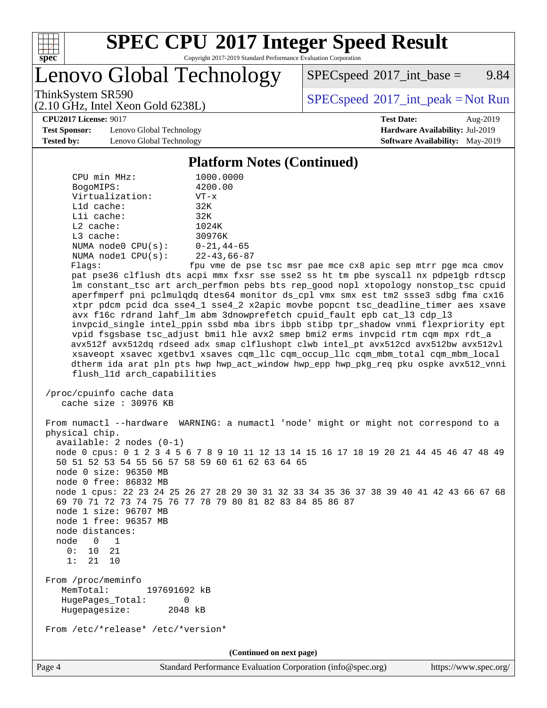

## **[SPEC CPU](http://www.spec.org/auto/cpu2017/Docs/result-fields.html#SPECCPU2017IntegerSpeedResult)[2017 Integer Speed Result](http://www.spec.org/auto/cpu2017/Docs/result-fields.html#SPECCPU2017IntegerSpeedResult)**

Copyright 2017-2019 Standard Performance Evaluation Corporation

Lenovo Global Technology

 $SPECspeed^{\circledcirc}2017\_int\_base =$  $SPECspeed^{\circledcirc}2017\_int\_base =$  9.84

(2.10 GHz, Intel Xeon Gold 6238L)

ThinkSystem SR590<br>  $(2.10 \text{ GHz} \text{ Intel } \text{Yoon} \text{ Gold } 62381)$  [SPECspeed](http://www.spec.org/auto/cpu2017/Docs/result-fields.html#SPECspeed2017intpeak)<sup>®</sup>[2017\\_int\\_peak = N](http://www.spec.org/auto/cpu2017/Docs/result-fields.html#SPECspeed2017intpeak)ot Run

**[Test Sponsor:](http://www.spec.org/auto/cpu2017/Docs/result-fields.html#TestSponsor)** Lenovo Global Technology **[Hardware Availability:](http://www.spec.org/auto/cpu2017/Docs/result-fields.html#HardwareAvailability)** Jul-2019 **[Tested by:](http://www.spec.org/auto/cpu2017/Docs/result-fields.html#Testedby)** Lenovo Global Technology **[Software Availability:](http://www.spec.org/auto/cpu2017/Docs/result-fields.html#SoftwareAvailability)** May-2019

**[CPU2017 License:](http://www.spec.org/auto/cpu2017/Docs/result-fields.html#CPU2017License)** 9017 **[Test Date:](http://www.spec.org/auto/cpu2017/Docs/result-fields.html#TestDate)** Aug-2019

### **[Platform Notes \(Continued\)](http://www.spec.org/auto/cpu2017/Docs/result-fields.html#PlatformNotes)**

| CPU min MHz:                                                                                                                                                                                                           | 1000.0000                                                                                                                                                                                                                                                                                                                             |
|------------------------------------------------------------------------------------------------------------------------------------------------------------------------------------------------------------------------|---------------------------------------------------------------------------------------------------------------------------------------------------------------------------------------------------------------------------------------------------------------------------------------------------------------------------------------|
| BogoMIPS:                                                                                                                                                                                                              | 4200.00                                                                                                                                                                                                                                                                                                                               |
| Virtualization:                                                                                                                                                                                                        | $VT - x$                                                                                                                                                                                                                                                                                                                              |
| L1d cache:                                                                                                                                                                                                             | 32K                                                                                                                                                                                                                                                                                                                                   |
| Lli cache:                                                                                                                                                                                                             | 32K                                                                                                                                                                                                                                                                                                                                   |
| $L2$ cache:                                                                                                                                                                                                            | 1024K                                                                                                                                                                                                                                                                                                                                 |
| L3 cache:                                                                                                                                                                                                              | 30976K                                                                                                                                                                                                                                                                                                                                |
| NUMA $node0$ $CPU(s):$                                                                                                                                                                                                 | $0 - 21, 44 - 65$                                                                                                                                                                                                                                                                                                                     |
| NUMA nodel $CPU(s):$                                                                                                                                                                                                   | $22 - 43,66 - 87$                                                                                                                                                                                                                                                                                                                     |
| Flags:                                                                                                                                                                                                                 | fpu vme de pse tsc msr pae mce cx8 apic sep mtrr pge mca cmov                                                                                                                                                                                                                                                                         |
|                                                                                                                                                                                                                        | pat pse36 clflush dts acpi mmx fxsr sse sse2 ss ht tm pbe syscall nx pdpelgb rdtscp                                                                                                                                                                                                                                                   |
|                                                                                                                                                                                                                        | lm constant_tsc art arch_perfmon pebs bts rep_good nopl xtopology nonstop_tsc cpuid                                                                                                                                                                                                                                                   |
|                                                                                                                                                                                                                        | aperfmperf pni pclmulqdq dtes64 monitor ds_cpl vmx smx est tm2 ssse3 sdbg fma cx16                                                                                                                                                                                                                                                    |
|                                                                                                                                                                                                                        | xtpr pdcm pcid dca sse4_1 sse4_2 x2apic movbe popcnt tsc_deadline_timer aes xsave                                                                                                                                                                                                                                                     |
|                                                                                                                                                                                                                        | avx f16c rdrand lahf_lm abm 3dnowprefetch cpuid_fault epb cat_13 cdp_13                                                                                                                                                                                                                                                               |
|                                                                                                                                                                                                                        | invpcid_single intel_ppin ssbd mba ibrs ibpb stibp tpr_shadow vnmi flexpriority ept                                                                                                                                                                                                                                                   |
|                                                                                                                                                                                                                        | vpid fsgsbase tsc_adjust bmil hle avx2 smep bmi2 erms invpcid rtm cqm mpx rdt_a                                                                                                                                                                                                                                                       |
|                                                                                                                                                                                                                        | avx512f avx512dq rdseed adx smap clflushopt clwb intel_pt avx512cd avx512bw avx512vl                                                                                                                                                                                                                                                  |
|                                                                                                                                                                                                                        | xsaveopt xsavec xgetbvl xsaves cqm_llc cqm_occup_llc cqm_mbm_total cqm_mbm_local<br>dtherm ida arat pln pts hwp hwp_act_window hwp_epp hwp_pkg_req pku ospke avx512_vnni                                                                                                                                                              |
| flush_l1d arch_capabilities                                                                                                                                                                                            |                                                                                                                                                                                                                                                                                                                                       |
|                                                                                                                                                                                                                        |                                                                                                                                                                                                                                                                                                                                       |
| /proc/cpuinfo cache data                                                                                                                                                                                               |                                                                                                                                                                                                                                                                                                                                       |
| cache size : 30976 KB                                                                                                                                                                                                  |                                                                                                                                                                                                                                                                                                                                       |
| physical chip.<br>$available: 2 nodes (0-1)$<br>50 51 52 53 54 55 56 57 58 59 60 61 62 63 64 65<br>node 0 size: 96350 MB<br>node 0 free: 86832 MB<br>node 1 size: 96707 MB<br>node 1 free: 96357 MB<br>node distances: | From numactl --hardware WARNING: a numactl 'node' might or might not correspond to a<br>node 0 cpus: 0 1 2 3 4 5 6 7 8 9 10 11 12 13 14 15 16 17 18 19 20 21 44 45 46 47 48 49<br>node 1 cpus: 22 23 24 25 26 27 28 29 30 31 32 33 34 35 36 37 38 39 40 41 42 43 66 67 68<br>69 70 71 72 73 74 75 76 77 78 79 80 81 82 83 84 85 86 87 |
| node<br>$\begin{array}{ccc} & 0 & 1 \end{array}$                                                                                                                                                                       |                                                                                                                                                                                                                                                                                                                                       |
| 0:<br>10<br>- 21<br>1:<br>21<br>10                                                                                                                                                                                     |                                                                                                                                                                                                                                                                                                                                       |
|                                                                                                                                                                                                                        |                                                                                                                                                                                                                                                                                                                                       |
| From /proc/meminfo<br>MemTotal:<br>197691692 kB<br>HugePages_Total:<br>0<br>Hugepagesize:<br>2048 kB                                                                                                                   |                                                                                                                                                                                                                                                                                                                                       |
| From /etc/*release* /etc/*version*                                                                                                                                                                                     |                                                                                                                                                                                                                                                                                                                                       |
|                                                                                                                                                                                                                        | (Continued on next page)                                                                                                                                                                                                                                                                                                              |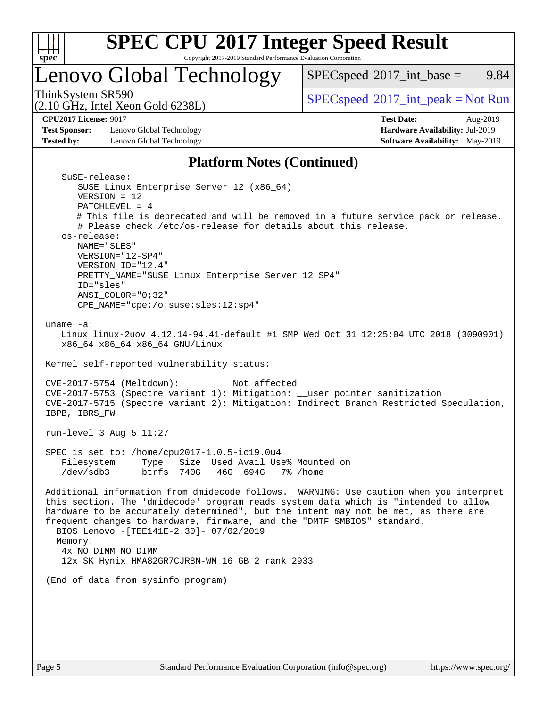

## **[SPEC CPU](http://www.spec.org/auto/cpu2017/Docs/result-fields.html#SPECCPU2017IntegerSpeedResult)[2017 Integer Speed Result](http://www.spec.org/auto/cpu2017/Docs/result-fields.html#SPECCPU2017IntegerSpeedResult)**

Copyright 2017-2019 Standard Performance Evaluation Corporation

## Lenovo Global Technology

 $SPECspeed^{\circledcirc}2017\_int\_base =$  $SPECspeed^{\circledcirc}2017\_int\_base =$  9.84

(2.10 GHz, Intel Xeon Gold 6238L)

ThinkSystem SR590<br>  $(2.10 \text{ GHz} \text{ Intel } \text{Yoon} \text{ Gold } 62381)$  [SPECspeed](http://www.spec.org/auto/cpu2017/Docs/result-fields.html#SPECspeed2017intpeak)<sup>®</sup>[2017\\_int\\_peak = N](http://www.spec.org/auto/cpu2017/Docs/result-fields.html#SPECspeed2017intpeak)ot Run

**[CPU2017 License:](http://www.spec.org/auto/cpu2017/Docs/result-fields.html#CPU2017License)** 9017 **[Test Date:](http://www.spec.org/auto/cpu2017/Docs/result-fields.html#TestDate)** Aug-2019

**[Test Sponsor:](http://www.spec.org/auto/cpu2017/Docs/result-fields.html#TestSponsor)** Lenovo Global Technology **[Hardware Availability:](http://www.spec.org/auto/cpu2017/Docs/result-fields.html#HardwareAvailability)** Jul-2019 **[Tested by:](http://www.spec.org/auto/cpu2017/Docs/result-fields.html#Testedby)** Lenovo Global Technology **[Software Availability:](http://www.spec.org/auto/cpu2017/Docs/result-fields.html#SoftwareAvailability)** May-2019

### **[Platform Notes \(Continued\)](http://www.spec.org/auto/cpu2017/Docs/result-fields.html#PlatformNotes)**

| SuSE-release:                                                                          |
|----------------------------------------------------------------------------------------|
| SUSE Linux Enterprise Server 12 (x86_64)                                               |
| $VERSION = 12$                                                                         |
| $PATCHLEVEL = 4$                                                                       |
| # This file is deprecated and will be removed in a future service pack or release.     |
| # Please check /etc/os-release for details about this release.                         |
| os-release:                                                                            |
| NAME="SLES"                                                                            |
| VERSION="12-SP4"                                                                       |
| VERSION_ID="12.4"                                                                      |
| PRETTY_NAME="SUSE Linux Enterprise Server 12 SP4"                                      |
| ID="sles"                                                                              |
| $ANSI$ _COLOR=" $0:32$ "                                                               |
| CPE_NAME="cpe:/o:suse:sles:12:sp4"                                                     |
|                                                                                        |
| uname $-a$ :                                                                           |
|                                                                                        |
| Linux linux-2uov 4.12.14-94.41-default #1 SMP Wed Oct 31 12:25:04 UTC 2018 (3090901)   |
| x86_64 x86_64 x86_64 GNU/Linux                                                         |
|                                                                                        |
| Kernel self-reported vulnerability status:                                             |
|                                                                                        |
| CVE-2017-5754 (Meltdown):<br>Not affected                                              |
| CVE-2017-5753 (Spectre variant 1): Mitigation: __user pointer sanitization             |
| CVE-2017-5715 (Spectre variant 2): Mitigation: Indirect Branch Restricted Speculation, |
| IBPB, IBRS_FW                                                                          |
|                                                                                        |
| run-level $3$ Aug $5$ 11:27                                                            |
|                                                                                        |
| SPEC is set to: /home/cpu2017-1.0.5-ic19.0u4                                           |
| Filesystem<br>Type Size Used Avail Use% Mounted on                                     |
| /dev/sdb3 btrfs 740G 46G 694G 7% /home                                                 |
|                                                                                        |
| Additional information from dmidecode follows. WARNING: Use caution when you interpret |
| this section. The 'dmidecode' program reads system data which is "intended to allow    |
| hardware to be accurately determined", but the intent may not be met, as there are     |
| frequent changes to hardware, firmware, and the "DMTF SMBIOS" standard.                |
| BIOS Lenovo - [TEE141E-2.30]- 07/02/2019                                               |
| Memory:                                                                                |
| 4x NO DIMM NO DIMM                                                                     |
| 12x SK Hynix HMA82GR7CJR8N-WM 16 GB 2 rank 2933                                        |
|                                                                                        |
| (End of data from sysinfo program)                                                     |
|                                                                                        |
|                                                                                        |
|                                                                                        |
|                                                                                        |
|                                                                                        |
|                                                                                        |
|                                                                                        |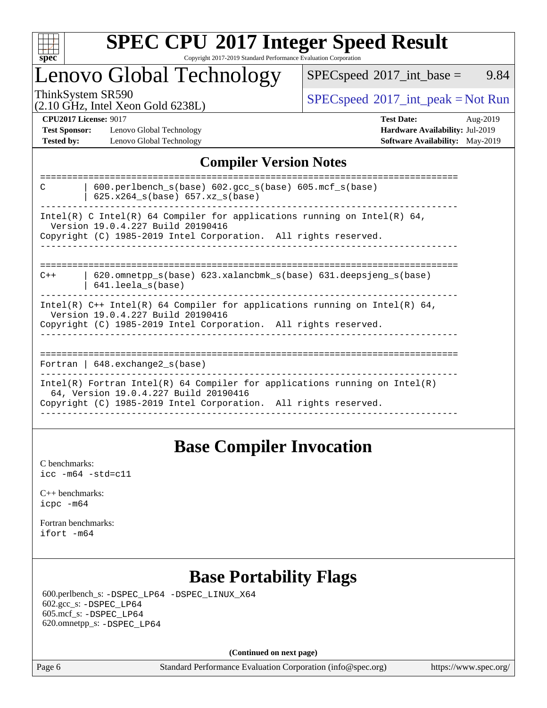

### **[SPEC CPU](http://www.spec.org/auto/cpu2017/Docs/result-fields.html#SPECCPU2017IntegerSpeedResult)[2017 Integer Speed Result](http://www.spec.org/auto/cpu2017/Docs/result-fields.html#SPECCPU2017IntegerSpeedResult)** Copyright 2017-2019 Standard Performance Evaluation Corporation

## Lenovo Global Technology

 $SPECspeed^{\circ}2017\_int\_base =$  $SPECspeed^{\circ}2017\_int\_base =$  9.84

(2.10 GHz, Intel Xeon Gold 6238L)

ThinkSystem SR590<br>  $(2.10 \text{ GHz}_{\text{total}} \text{ York})$  [SPECspeed](http://www.spec.org/auto/cpu2017/Docs/result-fields.html#SPECspeed2017intpeak)<sup>®</sup>[2017\\_int\\_peak = N](http://www.spec.org/auto/cpu2017/Docs/result-fields.html#SPECspeed2017intpeak)ot Run

**[Test Sponsor:](http://www.spec.org/auto/cpu2017/Docs/result-fields.html#TestSponsor)** Lenovo Global Technology **[Hardware Availability:](http://www.spec.org/auto/cpu2017/Docs/result-fields.html#HardwareAvailability)** Jul-2019 **[Tested by:](http://www.spec.org/auto/cpu2017/Docs/result-fields.html#Testedby)** Lenovo Global Technology **[Software Availability:](http://www.spec.org/auto/cpu2017/Docs/result-fields.html#SoftwareAvailability)** May-2019

**[CPU2017 License:](http://www.spec.org/auto/cpu2017/Docs/result-fields.html#CPU2017License)** 9017 **[Test Date:](http://www.spec.org/auto/cpu2017/Docs/result-fields.html#TestDate)** Aug-2019

### **[Compiler Version Notes](http://www.spec.org/auto/cpu2017/Docs/result-fields.html#CompilerVersionNotes)**

| $600.$ perlbench $s(base)$ $602.$ qcc $s(base)$ $605.$ mcf $s(base)$<br>C<br>$625.x264_s(base) 657.xz_s(base)$      |
|---------------------------------------------------------------------------------------------------------------------|
| Intel(R) C Intel(R) 64 Compiler for applications running on Intel(R) 64,<br>Version 19.0.4.227 Build 20190416       |
| Copyright (C) 1985-2019 Intel Corporation. All rights reserved.                                                     |
|                                                                                                                     |
| $620$ .omnetpp $s(base)$ 623.xalancbmk $s(base)$ 631.deepsjeng $s(base)$<br>$C++$<br>$641.$ leela $s(base)$         |
| Intel(R) $C++$ Intel(R) 64 Compiler for applications running on Intel(R) 64,<br>Version 19.0.4.227 Build 20190416   |
| Copyright (C) 1985-2019 Intel Corporation. All rights reserved.                                                     |
|                                                                                                                     |
| Fortran   $648$ . exchange2 $s(base)$                                                                               |
| Intel(R) Fortran Intel(R) 64 Compiler for applications running on Intel(R)<br>64, Version 19.0.4.227 Build 20190416 |
| Copyright (C) 1985-2019 Intel Corporation. All rights reserved.                                                     |
|                                                                                                                     |

### **[Base Compiler Invocation](http://www.spec.org/auto/cpu2017/Docs/result-fields.html#BaseCompilerInvocation)**

[C benchmarks](http://www.spec.org/auto/cpu2017/Docs/result-fields.html#Cbenchmarks): [icc -m64 -std=c11](http://www.spec.org/cpu2017/results/res2019q3/cpu2017-20190819-16980.flags.html#user_CCbase_intel_icc_64bit_c11_33ee0cdaae7deeeab2a9725423ba97205ce30f63b9926c2519791662299b76a0318f32ddfffdc46587804de3178b4f9328c46fa7c2b0cd779d7a61945c91cd35)

[C++ benchmarks:](http://www.spec.org/auto/cpu2017/Docs/result-fields.html#CXXbenchmarks) [icpc -m64](http://www.spec.org/cpu2017/results/res2019q3/cpu2017-20190819-16980.flags.html#user_CXXbase_intel_icpc_64bit_4ecb2543ae3f1412ef961e0650ca070fec7b7afdcd6ed48761b84423119d1bf6bdf5cad15b44d48e7256388bc77273b966e5eb805aefd121eb22e9299b2ec9d9)

[Fortran benchmarks](http://www.spec.org/auto/cpu2017/Docs/result-fields.html#Fortranbenchmarks): [ifort -m64](http://www.spec.org/cpu2017/results/res2019q3/cpu2017-20190819-16980.flags.html#user_FCbase_intel_ifort_64bit_24f2bb282fbaeffd6157abe4f878425411749daecae9a33200eee2bee2fe76f3b89351d69a8130dd5949958ce389cf37ff59a95e7a40d588e8d3a57e0c3fd751)

### **[Base Portability Flags](http://www.spec.org/auto/cpu2017/Docs/result-fields.html#BasePortabilityFlags)**

 600.perlbench\_s: [-DSPEC\\_LP64](http://www.spec.org/cpu2017/results/res2019q3/cpu2017-20190819-16980.flags.html#b600.perlbench_s_basePORTABILITY_DSPEC_LP64) [-DSPEC\\_LINUX\\_X64](http://www.spec.org/cpu2017/results/res2019q3/cpu2017-20190819-16980.flags.html#b600.perlbench_s_baseCPORTABILITY_DSPEC_LINUX_X64) 602.gcc\_s: [-DSPEC\\_LP64](http://www.spec.org/cpu2017/results/res2019q3/cpu2017-20190819-16980.flags.html#suite_basePORTABILITY602_gcc_s_DSPEC_LP64) 605.mcf\_s: [-DSPEC\\_LP64](http://www.spec.org/cpu2017/results/res2019q3/cpu2017-20190819-16980.flags.html#suite_basePORTABILITY605_mcf_s_DSPEC_LP64) 620.omnetpp\_s: [-DSPEC\\_LP64](http://www.spec.org/cpu2017/results/res2019q3/cpu2017-20190819-16980.flags.html#suite_basePORTABILITY620_omnetpp_s_DSPEC_LP64)

**(Continued on next page)**

Page 6 Standard Performance Evaluation Corporation [\(info@spec.org\)](mailto:info@spec.org) <https://www.spec.org/>